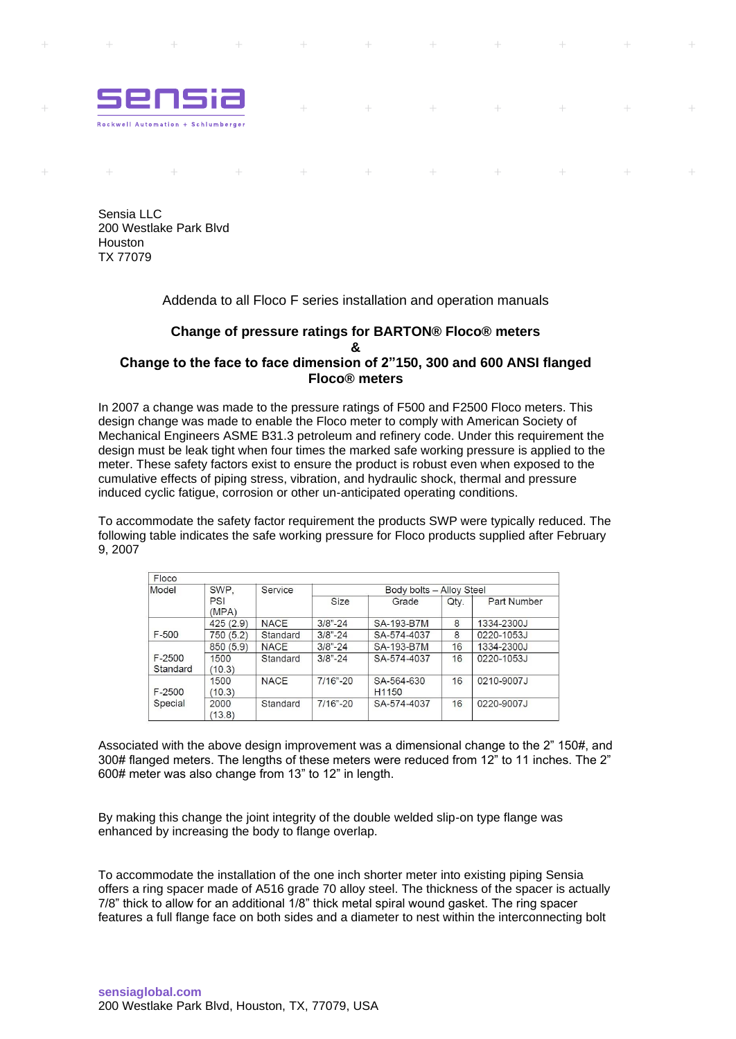

 $\rightarrow$ 

 $\rightarrow$ 

 $\rightarrow$ 

and the con-

 $\div$ 

 $+$ 

 $\sim$ 

 $\Delta \omega$ 

 $\frac{1}{2} \left| \mathbf{r} \right|$ 

Sensia LLC 200 Westlake Park Blvd Houston TX 77079

## Addenda to all Floco F series installation and operation manuals

 $\sim 10^{-1}$ 

 $\rightarrow$ 

 $\rightarrow$ 

 $\rightarrow$ 

 $\pm$ 

 $\perp$ 

## **Change of pressure ratings for BARTON® Floco® meters & Change to the face to face dimension of 2"150, 300 and 600 ANSI flanged**

**Floco® meters**

In 2007 a change was made to the pressure ratings of F500 and F2500 Floco meters. This design change was made to enable the Floco meter to comply with American Society of Mechanical Engineers ASME B31.3 petroleum and refinery code. Under this requirement the design must be leak tight when four times the marked safe working pressure is applied to the meter. These safety factors exist to ensure the product is robust even when exposed to the cumulative effects of piping stress, vibration, and hydraulic shock, thermal and pressure induced cyclic fatigue, corrosion or other un-anticipated operating conditions.

To accommodate the safety factor requirement the products SWP were typically reduced. The following table indicates the safe working pressure for Floco products supplied after February 9, 2007

| Floco              |                |             |                          |                   |      |             |  |
|--------------------|----------------|-------------|--------------------------|-------------------|------|-------------|--|
| Model              | SWP.           | Service     | Body bolts - Alloy Steel |                   |      |             |  |
|                    | PSI<br>(MPA)   |             | Size                     | Grade             | Qty. | Part Number |  |
|                    | 425(2.9)       | <b>NACE</b> | $3/8" - 24$              | SA-193-B7M        | 8    | 1334-2300J  |  |
| F-500              | 750 (5.2)      | Standard    | $3/8" - 24$              | SA-574-4037       | 8    | 0220-1053J  |  |
|                    | 850 (5.9)      | <b>NACE</b> | $3/8 - 24$               | SA-193-B7M        | 16   | 1334-2300J  |  |
| F-2500<br>Standard | 1500<br>(10.3) | Standard    | $3/8" - 24$              | SA-574-4037       | 16   | 0220-1053J  |  |
|                    | 1500           | <b>NACF</b> | $7/16" - 20$             | SA-564-630        | 16   | 0210-9007J  |  |
| F-2500             | (10.3)         |             |                          | H <sub>1150</sub> |      |             |  |
| Special            | 2000<br>(13.8) | Standard    | $7/16" - 20$             | SA-574-4037       | 16   | 0220-9007J  |  |

Associated with the above design improvement was a dimensional change to the 2" 150#, and 300# flanged meters. The lengths of these meters were reduced from 12" to 11 inches. The 2" 600# meter was also change from 13" to 12" in length.

By making this change the joint integrity of the double welded slip-on type flange was enhanced by increasing the body to flange overlap.

To accommodate the installation of the one inch shorter meter into existing piping Sensia offers a ring spacer made of A516 grade 70 alloy steel. The thickness of the spacer is actually 7/8" thick to allow for an additional 1/8" thick metal spiral wound gasket. The ring spacer features a full flange face on both sides and a diameter to nest within the interconnecting bolt